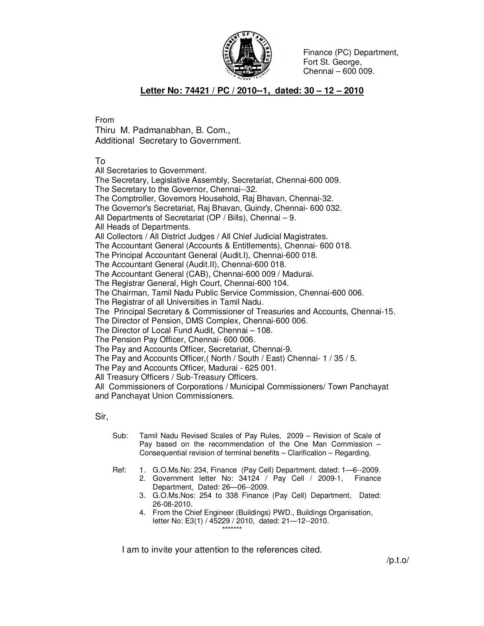

Finance (PC) Department, Fort St. George, Chennai – 600 009.

## **Letter No: 74421 / PC / 2010--1, dated: 30 – 12 – 2010**

From

Thiru M. Padmanabhan, B. Com., Additional Secretary to Government.

To

All Secretaries to Government.

The Secretary, Legislative Assembly, Secretariat, Chennai-600 009. The Secretary to the Governor, Chennai--32. The Comptroller, Governors Household, Raj Bhavan, Chennai-32. The Governor's Secretariat, Raj Bhavan, Guindy, Chennai- 600 032. All Departments of Secretariat (OP / Bills), Chennai – 9. All Heads of Departments. All Collectors / All District Judges / All Chief Judicial Magistrates. The Accountant General (Accounts & Entitlements), Chennai- 600 018. The Principal Accountant General (Audit.I), Chennai-600 018. The Accountant General (Audit.II), Chennai-600 018. The Accountant General (CAB), Chennai-600 009 / Madurai. The Registrar General, High Court, Chennai-600 104. The Chairman, Tamil Nadu Public Service Commission, Chennai-600 006. The Registrar of all Universities in Tamil Nadu. The Principal Secretary & Commissioner of Treasuries and Accounts, Chennai-15. The Director of Pension, DMS Complex, Chennai-600 006. The Director of Local Fund Audit, Chennai – 108. The Pension Pay Officer, Chennai- 600 006. The Pay and Accounts Officer, Secretariat, Chennai-9. The Pay and Accounts Officer,( North / South / East) Chennai- 1 / 35 / 5. The Pay and Accounts Officer, Madurai - 625 001. All Treasury Officers / Sub-Treasury Officers. All Commissioners of Corporations / Municipal Commissioners/ Town Panchayat and Panchayat Union Commissioners.

Sir,

- Sub: Tamil Nadu Revised Scales of Pay Rules, 2009 Revision of Scale of Pay based on the recommendation of the One Man Commission – Consequential revision of terminal benefits – Clarification – Regarding.
- Ref: 1. G.O.Ms.No: 234, Finance (Pay Cell) Department. dated: 1—6--2009. 2. Government letter No: 34124 / Pay Cell / 2009-1, Finance
	- Department, Dated: 26—06--2009. 3. G.O.Ms.Nos: 254 to 338 Finance (Pay Cell) Department, Dated:
	- 26-08-2010.
	- 4. From the Chief Engineer (Buildings) PWD., Buildings Organisation, letter No: E3(1) / 45229 / 2010, dated: 21—12--2010. \*\*\*\*\*\*\*

I am to invite your attention to the references cited.